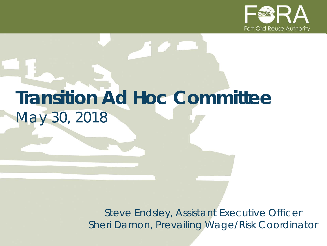

# **Transition Ad Hoc Committee** *May 30, 2018*

*Steve Endsley, Assistant Executive Officer Sheri Damon, Prevailing Wage/Risk Coordinator*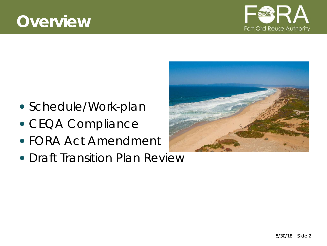## **Overview**



- Schedule/Work-plan
- CEQA Compliance
- FORA Act Amendment
- Draft Transition Plan Review

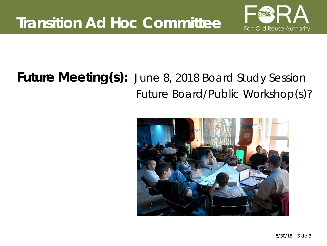

## **Future Meeting(s):** June 8, 2018 Board Study Session Future Board/Public Workshop(s)?

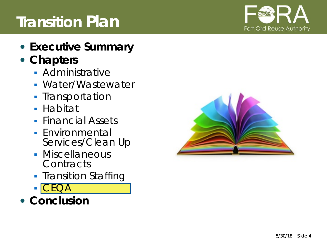#### 5/30/18 Slide 4

## **Transition Plan**

- **Executive Summary**
- **Chapters**
	- **Administrative**
	- Water/Wastewater
	- **Transportation**
	- **Habitat**
	- **Financial Assets**
	- **Environmental** Services/Clean Up
	- **Miscellaneous Contracts**
	- **Transition Staffing**
	- CEQA
- **Conclusion**



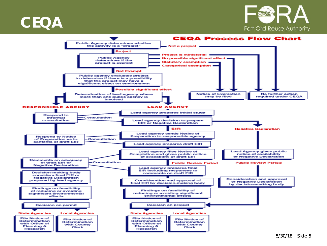



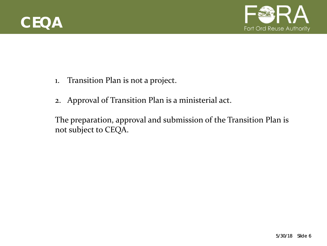



- 1. Transition Plan is not a project.
- 2. Approval of Transition Plan is a ministerial act.

The preparation, approval and submission of the Transition Plan is not subject to CEQA.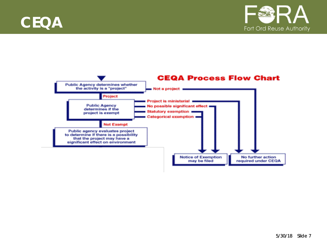



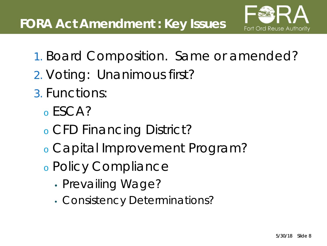

- 1. Board Composition. Same or amended?
- 2. Voting: Unanimous first?
- 3. Functions:
	- <sup>o</sup> ESCA?
	- <sup>o</sup> CFD Financing District?
	- <sup>o</sup> Capital Improvement Program?
	- <sup>o</sup> Policy Compliance
		- Prevailing Wage?
		- Consistency Determinations?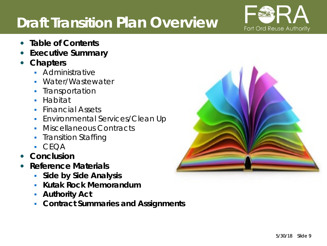## **Draft Transition Plan Overview**



- **Table of Contents**
- **Executive Summary**
- **Chapters**
	- **Administrative**
	- **Water/Wastewater**
	- Transportation
	- Habitat
	- **Financial Assets**
	- **Environmental Services/Clean Up**
	- Miscellaneous Contracts
	- Transition Staffing
	- $CFOA$
- **Conclusion**
- **Reference Materials**
	- **Side by Side Analysis**
	- **Kutak Rock Memorandum**
	- **Authority Act**
	- **Contract Summaries and Assignments**

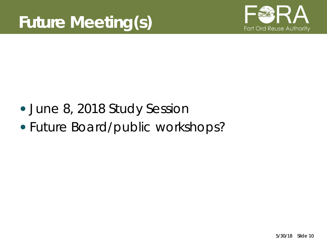

- June 8, 2018 Study Session
- Future Board/public workshops?